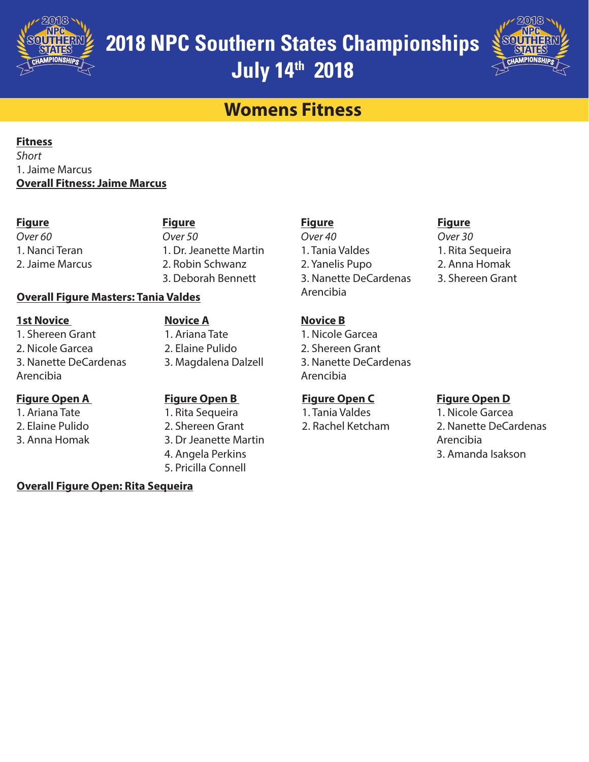



## **Womens Fitness**

#### **Fitness**

*Short* 1. Jaime Marcus **Overall Fitness: Jaime Marcus**

#### **Figure**

### **Figure**

*Over 60* 1. Nanci Teran 2. Jaime Marcus *Over 50* 1. Dr. Jeanette Martin 2. Robin Schwanz 3. Deborah Bennett

#### **Overall Figure Masters: Tania Valdes**

**1st Novice**  1. Shereen Grant 2. Nicole Garcea

# 3. Nanette DeCardenas Arencibia

#### **Figure Open A**

1. Ariana Tate

- 2. Elaine Pulido
- 3. Anna Homak

**Novice A** 1. Ariana Tate 2. Elaine Pulido 3. Magdalena Dalzell

#### **Figure Open B**

1. Rita Sequeira 2. Shereen Grant 3. Dr Jeanette Martin 4. Angela Perkins 5. Pricilla Connell

### **Overall Figure Open: Rita Sequeira**

### **Figure**

*Over 40* 1. Tania Valdes 2. Yanelis Pupo 3. Nanette DeCardenas Arencibia

**Figure**

*Over 30* 1. Rita Sequeira 2. Anna Homak 3. Shereen Grant

### **Novice B**

1. Nicole Garcea 2. Shereen Grant 3. Nanette DeCardenas Arencibia

#### **Figure Open C**

1. Tania Valdes 2. Rachel Ketcham

#### **Figure Open D**

1. Nicole Garcea 2. Nanette DeCardenas Arencibia 3. Amanda Isakson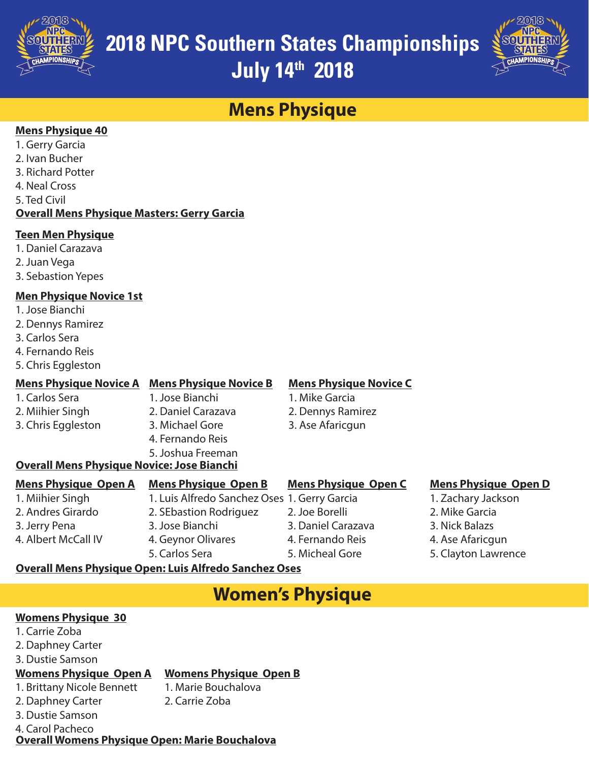



## **Mens Physique**

#### **Mens Physique 40**

- 1. Gerry Garcia
- 2. Ivan Bucher
- 3. Richard Potter
- 4. Neal Cross
- 5. Ted Civil

#### **Overall Mens Physique Masters: Gerry Garcia**

#### **Teen Men Physique**

- 1. Daniel Carazava
- 2. Juan Vega
- 3. Sebastion Yepes

#### **Men Physique Novice 1st**

- 1. Jose Bianchi
- 2. Dennys Ramirez
- 3. Carlos Sera
- 4. Fernando Reis
- 5. Chris Eggleston

2. Miihier Singh 3. Chris Eggleston

#### **Mens Physique Novice A Mens Physique Novice B** 1. Carlos Sera

- 1. Jose Bianchi 2. Daniel Carazava
	- 3. Michael Gore

#### 4. Fernando Reis 5. Joshua Freeman

#### **Mens Physique Novice C** 1. Mike Garcia

- 2. Dennys Ramirez
- 3. Ase Afaricgun

### **Overall Mens Physique Novice: Jose Bianchi**

| <b>Mens Physique Open A</b> | <b>Mens Physique Open B</b>                           | <b>Mens Physique Open C</b> | <b>Mens Physique Open D</b> |
|-----------------------------|-------------------------------------------------------|-----------------------------|-----------------------------|
| 1. Miihier Singh            | 1. Luis Alfredo Sanchez Oses 1. Gerry Garcia          |                             | 1. Zachary Jackson          |
| 2. Andres Girardo           | 2. SEbastion Rodriguez                                | 2. Joe Borelli              | 2. Mike Garcia              |
| 3. Jerry Pena               | 3. Jose Bianchi                                       | 3. Daniel Carazava          | 3. Nick Balazs              |
| 4. Albert McCall IV         | 4. Geynor Olivares                                    | 4. Fernando Reis            | 4. Ase Afaricgun            |
|                             | 5. Carlos Sera                                        | 5. Micheal Gore             | 5. Clayton Lawrence         |
|                             | Queuell Mana Dhuciaua Quenel via Alfreda Canabes Qess |                             |                             |

#### **Overall Mens Physique Open: Luis Alfredo Sanchez Oses**

## **Women's Physique**

#### **Womens Physique 30**

- 1. Carrie Zoba
- 2. Daphney Carter
- 3. Dustie Samson

#### **Womens Physique Open A Womens Physique Open B**

- 1. Brittany Nicole Bennett
- 2. Daphney Carter
- 3. Dustie Samson
- 2. Carrie Zoba

1. Marie Bouchalova

- 
- 4. Carol Pacheco

**Overall Womens Physique Open: Marie Bouchalova**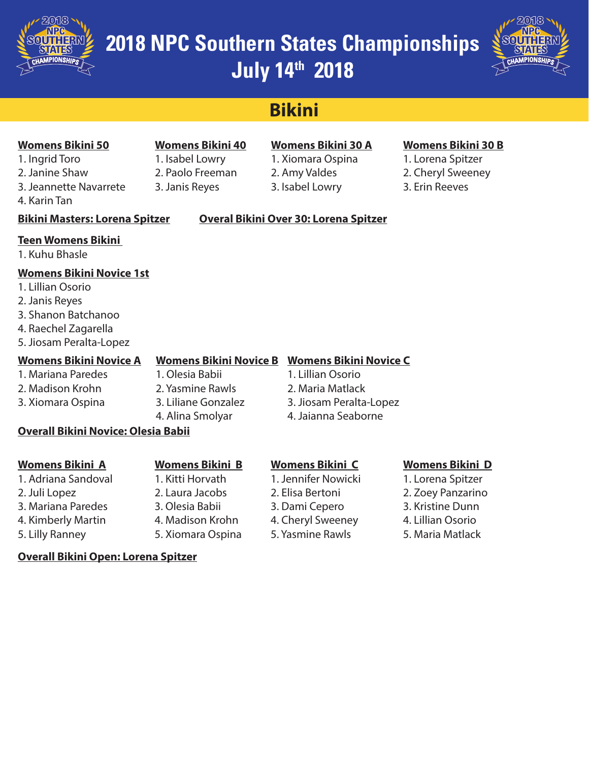

### **2018 NPC Southern States Championships July 14th 2018** *1980 2018 1980 2018*



## **Bikini**

#### **Womens Bikini 50**

- 1. Ingrid Toro 2. Janine Shaw
- 3. Jeannette Navarrete
- 4. Karin Tan

### **Womens Bikini 40** 1. Isabel Lowry

2. Paolo Freeman 3. Janis Reyes

### **Womens Bikini 30 A**

1. Xiomara Ospina 2. Amy Valdes 3. Isabel Lowry

#### **Womens Bikini 30 B**

1. Lorena Spitzer 2. Cheryl Sweeney 3. Erin Reeves

#### **Bikini Masters: Lorena Spitzer Overal Bikini Over 30: Lorena Spitzer**

#### **Teen Womens Bikini**

1. Kuhu Bhasle

#### **Womens Bikini Novice 1st**

- 1. Lillian Osorio
- 2. Janis Reyes
- 3. Shanon Batchanoo
- 4. Raechel Zagarella
- 5. Jiosam Peralta-Lopez

#### **Womens Bikini Novice A**

- 1. Mariana Paredes
- 2. Madison Krohn
- 3. Xiomara Ospina
- 1. Olesia Babii 2. Yasmine Rawls 3. Liliane Gonzalez 4. Alina Smolyar

#### **Womens Bikini Novice B Womens Bikini Novice C**

- 1. Lillian Osorio
- 2. Maria Matlack
- 3. Jiosam Peralta-Lopez
- 4. Jaianna Seaborne

#### **Overall Bikini Novice: Olesia Babii**

**Overall Bikini Open: Lorena Spitzer**

#### **Womens Bikini A**

- 1. Adriana Sandoval 2. Juli Lopez 3. Mariana Paredes
- 4. Kimberly Martin
- 5. Lilly Ranney

#### **Womens Bikini B**

- 1. Kitti Horvath 2. Laura Jacobs 3. Olesia Babii
- 

#### **Womens Bikini C**

- 1. Jennifer Nowicki
- 2. Elisa Bertoni
- 3. Dami Cepero
- 4. Cheryl Sweeney
- 5. Yasmine Rawls

#### **Womens Bikini D**

- 1. Lorena Spitzer
- 2. Zoey Panzarino 3. Kristine Dunn
- 4. Lillian Osorio
- 5. Maria Matlack

4. Madison Krohn 5. Xiomara Ospina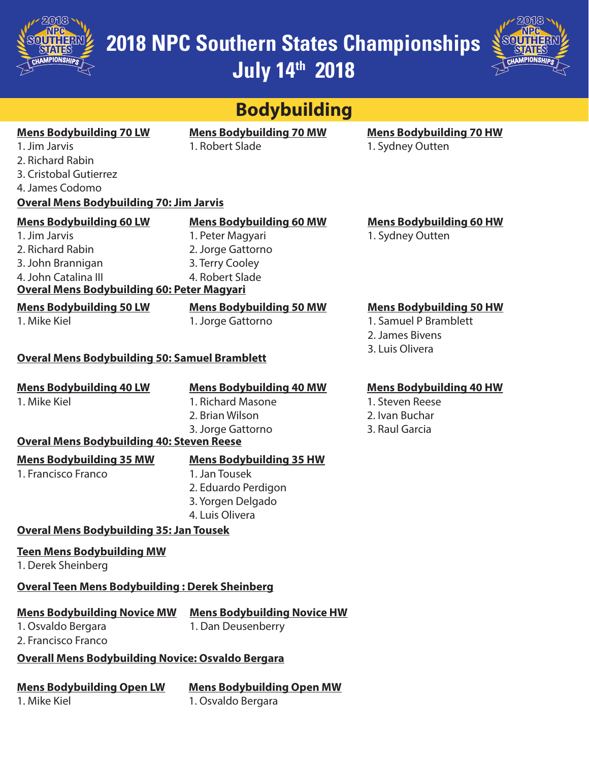



| <b>Bodybuilding</b>                                                                                                                                                   |                                                                                                               |                                                                                               |  |  |  |  |  |  |
|-----------------------------------------------------------------------------------------------------------------------------------------------------------------------|---------------------------------------------------------------------------------------------------------------|-----------------------------------------------------------------------------------------------|--|--|--|--|--|--|
| <b>Mens Bodybuilding 70 LW</b><br>1. Jim Jarvis<br>2. Richard Rabin<br>3. Cristobal Gutierrez<br>4. James Codomo                                                      | <b>Mens Bodybuilding 70 MW</b><br>1. Robert Slade                                                             | <b>Mens Bodybuilding 70 HW</b><br>1. Sydney Outten                                            |  |  |  |  |  |  |
| <b>Overal Mens Bodybuilding 70: Jim Jarvis</b>                                                                                                                        |                                                                                                               |                                                                                               |  |  |  |  |  |  |
| <b>Mens Bodybuilding 60 LW</b><br>1. Jim Jarvis<br>2. Richard Rabin<br>3. John Brannigan<br>4. John Catalina III<br><b>Overal Mens Bodybuilding 60: Peter Magyari</b> | <b>Mens Bodybuilding 60 MW</b><br>1. Peter Magyari<br>2. Jorge Gattorno<br>3. Terry Cooley<br>4. Robert Slade | <b>Mens Bodybuilding 60 HW</b><br>1. Sydney Outten                                            |  |  |  |  |  |  |
| <b>Mens Bodybuilding 50 LW</b><br>1. Mike Kiel                                                                                                                        | <b>Mens Bodybuilding 50 MW</b><br>1. Jorge Gattorno                                                           | <b>Mens Bodybuilding 50 HW</b><br>1. Samuel P Bramblett<br>2. James Bivens<br>3. Luis Olivera |  |  |  |  |  |  |
| <b>Overal Mens Bodybuilding 50: Samuel Bramblett</b>                                                                                                                  |                                                                                                               |                                                                                               |  |  |  |  |  |  |
| <b>Mens Bodybuilding 40 LW</b><br>1. Mike Kiel<br><b>Overal Mens Bodybuilding 40: Steven Reese</b>                                                                    | <b>Mens Bodybuilding 40 MW</b><br>1. Richard Masone<br>2. Brian Wilson<br>3. Jorge Gattorno                   | <b>Mens Bodybuilding 40 HW</b><br>1. Steven Reese<br>2. Ivan Buchar<br>3. Raul Garcia         |  |  |  |  |  |  |
| <b>Mens Bodybuilding 35 MW</b>                                                                                                                                        | <b>Mens Bodybuilding 35 HW</b>                                                                                |                                                                                               |  |  |  |  |  |  |
| 1. Francisco Franco                                                                                                                                                   | 1. Jan Tousek<br>2. Eduardo Perdigon<br>3. Yorgen Delgado<br>4. Luis Olivera                                  |                                                                                               |  |  |  |  |  |  |
| <b>Overal Mens Bodybuilding 35: Jan Tousek</b>                                                                                                                        |                                                                                                               |                                                                                               |  |  |  |  |  |  |
| <b>Teen Mens Bodybuilding MW</b><br>1. Derek Sheinberg                                                                                                                |                                                                                                               |                                                                                               |  |  |  |  |  |  |
| <b>Overal Teen Mens Bodybuilding: Derek Sheinberg</b>                                                                                                                 |                                                                                                               |                                                                                               |  |  |  |  |  |  |
| <b>Mens Bodybuilding Novice MW</b><br>1. Osvaldo Bergara<br>2. Francisco Franco<br><b>Overall Mens Bodybuilding Novice: Osvaldo Bergara</b>                           | <b>Mens Bodybuilding Novice HW</b><br>1. Dan Deusenberry                                                      |                                                                                               |  |  |  |  |  |  |
| <b>Mens Bodybuilding Open LW</b>                                                                                                                                      | <b>Mens Bodybuilding Open MW</b>                                                                              |                                                                                               |  |  |  |  |  |  |
| 1. Mike Kiel                                                                                                                                                          | 1. Osvaldo Bergara                                                                                            |                                                                                               |  |  |  |  |  |  |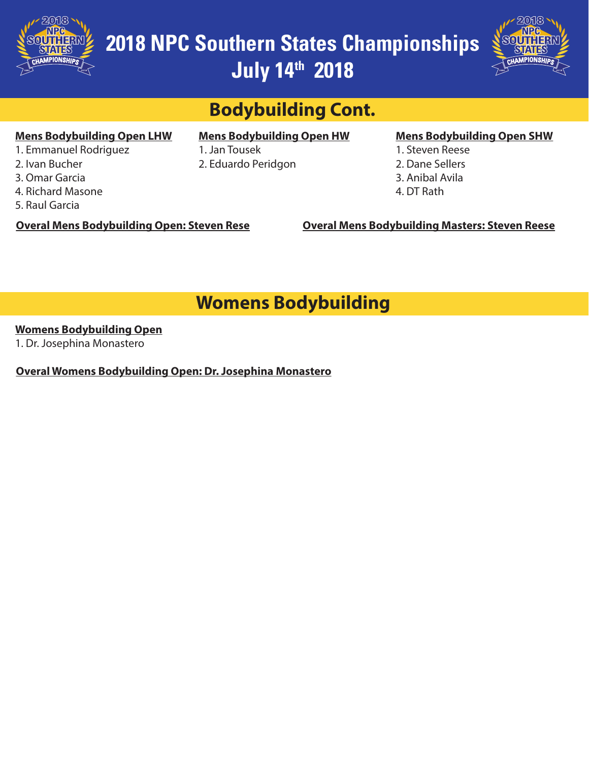

**2018 NPC Southern States Championships July 14th 2018** *1980 2018 1980 2018*



## **Bodybuilding Cont.**

#### **Mens Bodybuilding Open LHW**

- 1. Emmanuel Rodriguez
- 2. Ivan Bucher
- 3. Omar Garcia
- 4. Richard Masone
- 5. Raul Garcia

### **Mens Bodybuilding Open HW**

1. Jan Tousek 2. Eduardo Peridgon

#### **Mens Bodybuilding Open SHW**

- 1. Steven Reese
- 2. Dane Sellers
- 3. Anibal Avila
- 4. DT Rath

**Overal Mens Bodybuilding Open: Steven Rese**

**Overal Mens Bodybuilding Masters: Steven Reese**

## **Womens Bodybuilding**

#### **Womens Bodybuilding Open**

1. Dr. Josephina Monastero

**Overal Womens Bodybuilding Open: Dr. Josephina Monastero**